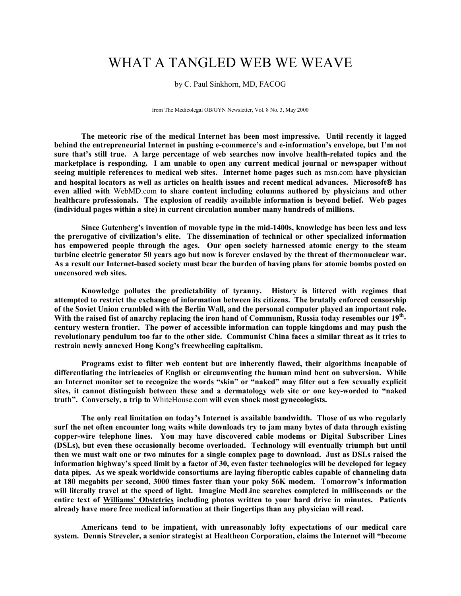## WHAT A TANGLED WEB WE WEAVE

by C. Paul Sinkhorn, MD, FACOG

from The Medicolegal OB/GYN Newsletter, Vol. 8 No. 3, May 2000

**The meteoric rise of the medical Internet has been most impressive. Until recently it lagged behind the entrepreneurial Internet in pushing e-commerce's and e-information's envelope, but I'm not sure that's still true. A large percentage of web searches now involve health-related topics and the marketplace is responding. I am unable to open any current medical journal or newspaper without seeing multiple references to medical web sites. Internet home pages such as** msn.com **have physician and hospital locators as well as articles on health issues and recent medical advances. Microsoft has even allied with** WebMD.com **to share content including columns authored by physicians and other healthcare professionals. The explosion of readily available information is beyond belief. Web pages (individual pages within a site) in current circulation number many hundreds of millions.** 

**Since Gutenberg's invention of movable type in the mid-1400s, knowledge has been less and less the prerogative of civilization's elite. The dissemination of technical or other specialized information has empowered people through the ages. Our open society harnessed atomic energy to the steam turbine electric generator 50 years ago but now is forever enslaved by the threat of thermonuclear war. As a result our Internet-based society must bear the burden of having plans for atomic bombs posted on uncensored web sites.** 

**Knowledge pollutes the predictability of tyranny. History is littered with regimes that attempted to restrict the exchange of information between its citizens. The brutally enforced censorship of the Soviet Union crumbled with the Berlin Wall, and the personal computer played an important role. With the raised fist of anarchy replacing the iron hand of Communism, Russia today resembles our 19th century western frontier. The power of accessible information can topple kingdoms and may push the revolutionary pendulum too far to the other side. Communist China faces a similar threat as it tries to restrain newly annexed Hong Kong's freewheeling capitalism.** 

**Programs exist to filter web content but are inherently flawed, their algorithms incapable of differentiating the intricacies of English or circumventing the human mind bent on subversion. While an Internet monitor set to recognize the words "skin" or "naked" may filter out a few sexually explicit sites, it cannot distinguish between these and a dermatology web site or one key-worded to "naked truth". Conversely, a trip to** WhiteHouse.com **will even shock most gynecologists.** 

**The only real limitation on today's Internet is available bandwidth. Those of us who regularly surf the net often encounter long waits while downloads try to jam many bytes of data through existing copper-wire telephone lines. You may have discovered cable modems or Digital Subscriber Lines (DSLs), but even these occasionally become overloaded. Technology will eventually triumph but until then we must wait one or two minutes for a single complex page to download. Just as DSLs raised the information highway's speed limit by a factor of 30, even faster technologies will be developed for legacy data pipes. As we speak worldwide consortiums are laying fiberoptic cables capable of channeling data at 180 megabits per second, 3000 times faster than your poky 56K modem. Tomorrow's information will literally travel at the speed of light. Imagine MedLine searches completed in milliseconds or the entire text of Williams' Obstetrics including photos written to your hard drive in minutes. Patients already have more free medical information at their fingertips than any physician will read.** 

**Americans tend to be impatient, with unreasonably lofty expectations of our medical care system. Dennis Streveler, a senior strategist at Healtheon Corporation, claims the Internet will "become**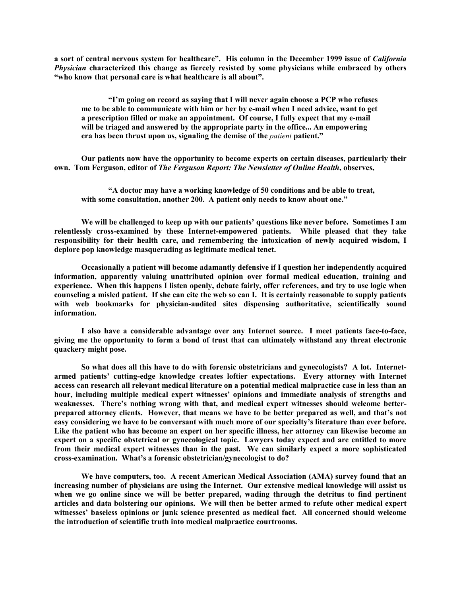**a sort of central nervous system for healthcare". His column in the December 1999 issue of** *California Physician* **characterized this change as fiercely resisted by some physicians while embraced by others "who know that personal care is what healthcare is all about".** 

**"I'm going on record as saying that I will never again choose a PCP who refuses me to be able to communicate with him or her by e-mail when I need advice, want to get a prescription filled or make an appointment. Of course, I fully expect that my e-mail will be triaged and answered by the appropriate party in the office... An empowering**  era has been thrust upon us, signaling the demise of the *patient* patient."

**Our patients now have the opportunity to become experts on certain diseases, particularly their own. Tom Ferguson, editor of** *The Ferguson Report: The Newsletter of Online Health***, observes,** 

**"A doctor may have a working knowledge of 50 conditions and be able to treat, with some consultation, another 200. A patient only needs to know about one."** 

**We will be challenged to keep up with our patients' questions like never before. Sometimes I am relentlessly cross-examined by these Internet-empowered patients. While pleased that they take responsibility for their health care, and remembering the intoxication of newly acquired wisdom, I deplore pop knowledge masquerading as legitimate medical tenet.** 

**Occasionally a patient will become adamantly defensive if I question her independently acquired information, apparently valuing unattributed opinion over formal medical education, training and experience. When this happens I listen openly, debate fairly, offer references, and try to use logic when counseling a misled patient. If she can cite the web so can I. It is certainly reasonable to supply patients with web bookmarks for physician-audited sites dispensing authoritative, scientifically sound information.** 

**I also have a considerable advantage over any Internet source. I meet patients face-to-face, giving me the opportunity to form a bond of trust that can ultimately withstand any threat electronic quackery might pose.** 

**So what does all this have to do with forensic obstetricians and gynecologists? A lot. Internetarmed patients' cutting-edge knowledge creates loftier expectations. Every attorney with Internet access can research all relevant medical literature on a potential medical malpractice case in less than an hour, including multiple medical expert witnesses' opinions and immediate analysis of strengths and weaknesses. There's nothing wrong with that, and medical expert witnesses should welcome betterprepared attorney clients. However, that means we have to be better prepared as well, and that's not easy considering we have to be conversant with much more of our specialty's literature than ever before. Like the patient who has become an expert on her specific illness, her attorney can likewise become an expert on a specific obstetrical or gynecological topic. Lawyers today expect and are entitled to more from their medical expert witnesses than in the past. We can similarly expect a more sophisticated cross-examination. What's a forensic obstetrician/gynecologist to do?** 

**We have computers, too. A recent American Medical Association (AMA) survey found that an increasing number of physicians are using the Internet. Our extensive medical knowledge will assist us when we go online since we will be better prepared, wading through the detritus to find pertinent articles and data bolstering our opinions. We will then be better armed to refute other medical expert witnesses' baseless opinions or junk science presented as medical fact. All concerned should welcome the introduction of scientific truth into medical malpractice courtrooms.**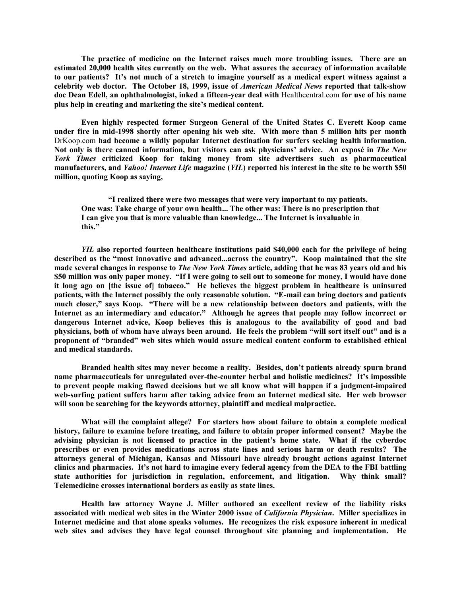**The practice of medicine on the Internet raises much more troubling issues. There are an estimated 20,000 health sites currently on the web. What assures the accuracy of information available to our patients? It's not much of a stretch to imagine yourself as a medical expert witness against a** celebrity web doctor. The October 18, 1999, issue of *American Medical News* reported that talk-show **doc Dean Edell, an ophthalmologist, inked a fifteen-year deal with** Healthcentral.com **for use of his name plus help in creating and marketing the site's medical content.** 

**Even highly respected former Surgeon General of the United States C. Everett Koop came under fire in mid-1998 shortly after opening his web site. With more than 5 million hits per month** DrKoop.com **had become a wildly popular Internet destination for surfers seeking health information.**  Not only is there canned information, but visitors can ask physicians' advice. An exposé in *The New York Times* **criticized Koop for taking money from site advertisers such as pharmaceutical manufacturers, and** *Yahoo! Internet Life* **magazine (***YIL***) reported his interest in the site to be worth \$50 million, quoting Koop as saying,** 

**"I realized there were two messages that were very important to my patients. One was: Take charge of your own health... The other was: There is no prescription that I can give you that is more valuable than knowledge... The Internet is invaluable in this."** 

*YIL* **also reported fourteen healthcare institutions paid \$40,000 each for the privilege of being described as the "most innovative and advanced...across the country". Koop maintained that the site**  made several changes in response to *The New York Times* article, adding that he was 83 years old and his **\$50 million was only paper money. "If I were going to sell out to someone for money, I would have done it long ago on [the issue of] tobacco." He believes the biggest problem in healthcare is uninsured patients, with the Internet possibly the only reasonable solution. "E-mail can bring doctors and patients much closer," says Koop. "There will be a new relationship between doctors and patients, with the Internet as an intermediary and educator." Although he agrees that people may follow incorrect or dangerous Internet advice, Koop believes this is analogous to the availability of good and bad physicians, both of whom have always been around. He feels the problem "will sort itself out" and is a proponent of "branded" web sites which would assure medical content conform to established ethical and medical standards.** 

**Branded health sites may never become a reality. Besides, don't patients already spurn brand name pharmaceuticals for unregulated over-the-counter herbal and holistic medicines? It's impossible to prevent people making flawed decisions but we all know what will happen if a judgment-impaired web-surfing patient suffers harm after taking advice from an Internet medical site. Her web browser will soon be searching for the keywords attorney, plaintiff and medical malpractice.** 

**What will the complaint allege? For starters how about failure to obtain a complete medical history, failure to examine before treating, and failure to obtain proper informed consent? Maybe the advising physician is not licensed to practice in the patient's home state. What if the cyberdoc prescribes or even provides medications across state lines and serious harm or death results? The attorneys general of Michigan, Kansas and Missouri have already brought actions against Internet clinics and pharmacies. It's not hard to imagine every federal agency from the DEA to the FBI battling state authorities for jurisdiction in regulation, enforcement, and litigation. Why think small? Telemedicine crosses international borders as easily as state lines.** 

**Health law attorney Wayne J. Miller authored an excellent review of the liability risks associated with medical web sites in the Winter 2000 issue of** *California Physician***. Miller specializes in Internet medicine and that alone speaks volumes. He recognizes the risk exposure inherent in medical web sites and advises they have legal counsel throughout site planning and implementation. He**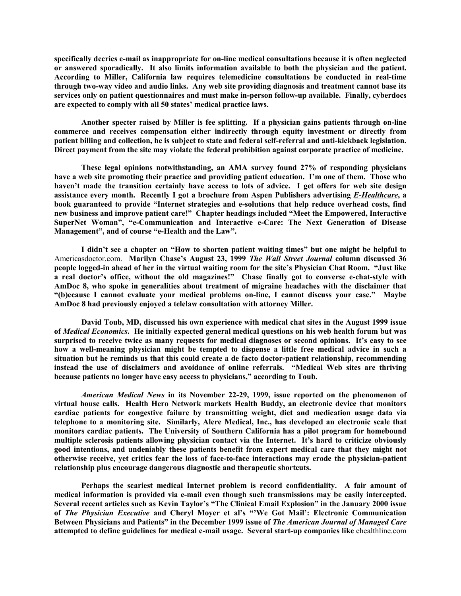**specifically decries e-mail as inappropriate for on-line medical consultations because it is often neglected or answered sporadically. It also limits information available to both the physician and the patient. According to Miller, California law requires telemedicine consultations be conducted in real-time through two-way video and audio links. Any web site providing diagnosis and treatment cannot base its services only on patient questionnaires and must make in-person follow-up available. Finally, cyberdocs are expected to comply with all 50 states' medical practice laws.** 

**Another specter raised by Miller is fee splitting. If a physician gains patients through on-line commerce and receives compensation either indirectly through equity investment or directly from patient billing and collection, he is subject to state and federal self-referral and anti-kickback legislation. Direct payment from the site may violate the federal prohibition against corporate practice of medicine.** 

**These legal opinions notwithstanding, an AMA survey found 27% of responding physicians have a web site promoting their practice and providing patient education. I'm one of them. Those who haven't made the transition certainly have access to lots of advice. I get offers for web site design assistance every month. Recently I got a brochure from Aspen Publishers advertising** *E-Healthcare***, a book guaranteed to provide "Internet strategies and e-solutions that help reduce overhead costs, find new business and improve patient care!" Chapter headings included "Meet the Empowered, Interactive**  SuperNet Woman", "e-Communication and Interactive e-Care: The Next Generation of Disease **Management", and of course "e-Health and the Law".** 

**I didn't see a chapter on "How to shorten patient waiting times" but one might be helpful to**  Americasdoctor.com. **Marilyn Chase's August 23, 1999** *The Wall Street Journal* **column discussed 36 people logged-in ahead of her in the virtual waiting room for the site's Physician Chat Room. "Just like a real doctor's office, without the old magazines!" Chase finally got to converse e-chat-style with AmDoc 8, who spoke in generalities about treatment of migraine headaches with the disclaimer that "(b)ecause I cannot evaluate your medical problems on-line, I cannot discuss your case." Maybe AmDoc 8 had previously enjoyed a telelaw consultation with attorney Miller.** 

**David Toub, MD, discussed his own experience with medical chat sites in the August 1999 issue of** *Medical Economics***. He initially expected general medical questions on his web health forum but was surprised to receive twice as many requests for medical diagnoses or second opinions. It's easy to see how a well-meaning physician might be tempted to dispense a little free medical advice in such a situation but he reminds us that this could create a de facto doctor-patient relationship, recommending instead the use of disclaimers and avoidance of online referrals. "Medical Web sites are thriving because patients no longer have easy access to physicians," according to Toub.** 

*American Medical News* in its November 22-29, 1999, issue reported on the phenomenon of **virtual house calls. Health Hero Detwork markets Health Buddy, an electronic device that monitors cardiac patients for congestive failure by transmitting weight, diet and medication usage data via telephone to a monitoring site. Similarly, Alere Medical, Inc., has developed an electronic scale that monitors cardiac patients. The University of Southern California has a pilot program for homebound multiple sclerosis patients allowing physician contact via the Internet. It's hard to criticize obviously good intentions, and undeniably these patients benefit from expert medical care that they might not otherwise receive, yet critics fear the loss of face-to-face interactions may erode the physician-patient relationship plus encourage dangerous diagnostic and therapeutic shortcuts.** 

**Perhaps the scariest medical Internet problem is record confidentiality. A fair amount of medical information is provided via e-mail even though such transmissions may be easily intercepted. Several recent articles such as Kevin Taylor's "The Clinical Email Explosion" in the January 2000 issue of** *The Physician Executive* **and Cheryl Moyer et al's "'We Got Mail': Electronic Communication Between Physicians and Patients" in the December 1999 issue of** *The American Journal of Managed Care* **attempted to define guidelines for medical e-mail usage. Several start-up companies like** ehealthline.com